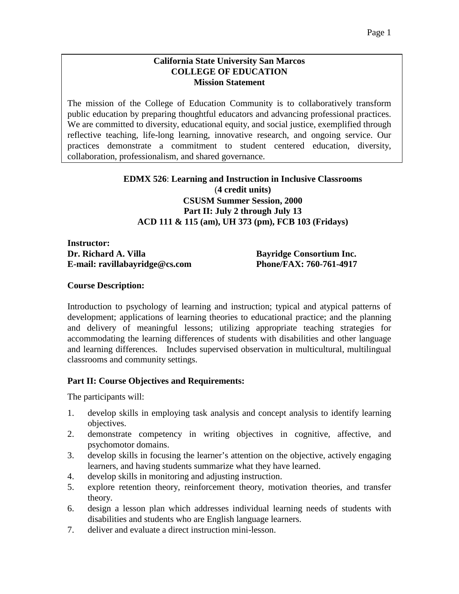#### **California State University San Marcos COLLEGE OF EDUCATION Mission Statement**

The mission of the College of Education Community is to collaboratively transform public education by preparing thoughtful educators and advancing professional practices. We are committed to diversity, educational equity, and social justice, exemplified through reflective teaching, life-long learning, innovative research, and ongoing service. Our practices demonstrate a commitment to student centered education, diversity, collaboration, professionalism, and shared governance.

### **EDMX 526**: **Learning and Instruction in Inclusive Classrooms** (**4 credit units) CSUSM Summer Session, 2000 Part II: July 2 through July 13 ACD 111 & 115 (am), UH 373 (pm), FCB 103 (Fridays)**

**Instructor: Dr. Richard A. Villa Bayridge Consortium Inc. E-mail: ravillabayridge@cs.com Phone/FAX: 760-761-4917**

### **Course Description:**

Introduction to psychology of learning and instruction; typical and atypical patterns of development; applications of learning theories to educational practice; and the planning and delivery of meaningful lessons; utilizing appropriate teaching strategies for accommodating the learning differences of students with disabilities and other language and learning differences. Includes supervised observation in multicultural, multilingual classrooms and community settings.

### **Part II: Course Objectives and Requirements:**

The participants will:

- 1. develop skills in employing task analysis and concept analysis to identify learning objectives.
- 2. demonstrate competency in writing objectives in cognitive, affective, and psychomotor domains.
- 3. develop skills in focusing the learner's attention on the objective, actively engaging learners, and having students summarize what they have learned.
- 4. develop skills in monitoring and adjusting instruction.
- 5. explore retention theory, reinforcement theory, motivation theories, and transfer theory.
- 6. design a lesson plan which addresses individual learning needs of students with disabilities and students who are English language learners.
- 7. deliver and evaluate a direct instruction mini-lesson.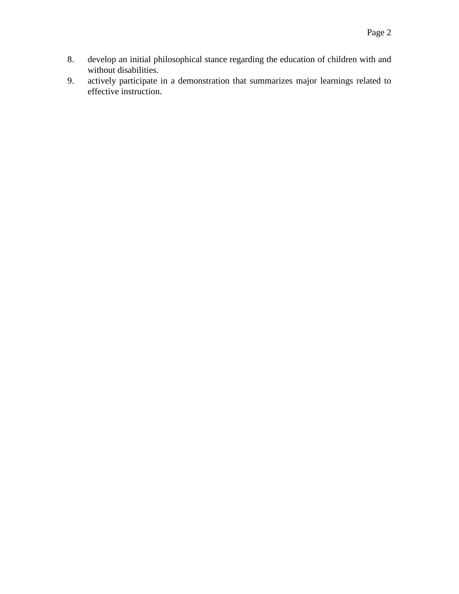- 8. develop an initial philosophical stance regarding the education of children with and without disabilities.
- 9. actively participate in a demonstration that summarizes major learnings related to effective instruction.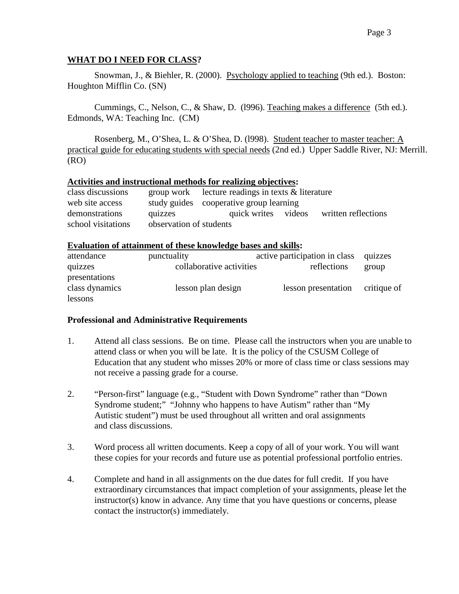### **WHAT DO I NEED FOR CLASS?**

Snowman, J., & Biehler, R. (2000). Psychology applied to teaching (9th ed.). Boston: Houghton Mifflin Co. (SN)

Cummings, C., Nelson, C., & Shaw, D. (l996). Teaching makes a difference (5th ed.). Edmonds, WA: Teaching Inc. (CM)

Rosenberg, M., O'Shea, L. & O'Shea, D. (l998). Student teacher to master teacher: A practical guide for educating students with special needs (2nd ed.) Upper Saddle River, NJ: Merrill. (RO)

#### **Activities and instructional methods for realizing objectives:**

| class discussions  |                         | group work lecture readings in texts $\&$ literature |  |                                         |
|--------------------|-------------------------|------------------------------------------------------|--|-----------------------------------------|
| web site access    |                         | study guides cooperative group learning              |  |                                         |
| demonstrations     | quizzes                 |                                                      |  | quick writes videos written reflections |
| school visitations | observation of students |                                                      |  |                                         |

#### **Evaluation of attainment of these knowledge bases and skills:**

| attendance     | punctuality              | active participation in class quizzes |             |
|----------------|--------------------------|---------------------------------------|-------------|
| quizzes        | collaborative activities | reflections                           | group       |
| presentations  |                          |                                       |             |
| class dynamics | lesson plan design       | lesson presentation                   | critique of |
| lessons        |                          |                                       |             |

#### **Professional and Administrative Requirements**

- 1. Attend all class sessions. Be on time. Please call the instructors when you are unable to attend class or when you will be late. It is the policy of the CSUSM College of Education that any student who misses 20% or more of class time or class sessions may not receive a passing grade for a course.
- 2. "Person-first" language (e.g., "Student with Down Syndrome" rather than "Down Syndrome student;" "Johnny who happens to have Autism" rather than "My Autistic student") must be used throughout all written and oral assignments and class discussions.
- 3. Word process all written documents. Keep a copy of all of your work. You will want these copies for your records and future use as potential professional portfolio entries.
- 4. Complete and hand in all assignments on the due dates for full credit. If you have extraordinary circumstances that impact completion of your assignments, please let the instructor(s) know in advance. Any time that you have questions or concerns, please contact the instructor(s) immediately.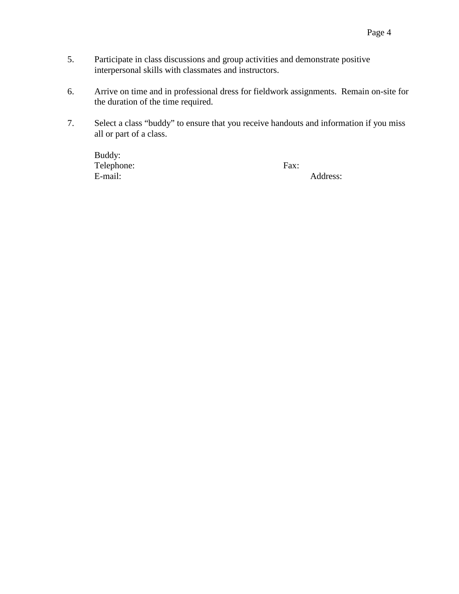- 5. Participate in class discussions and group activities and demonstrate positive interpersonal skills with classmates and instructors.
- 6. Arrive on time and in professional dress for fieldwork assignments. Remain on-site for the duration of the time required.
- 7. Select a class "buddy" to ensure that you receive handouts and information if you miss all or part of a class.

Buddy: Telephone: Fax: E-mail: Address: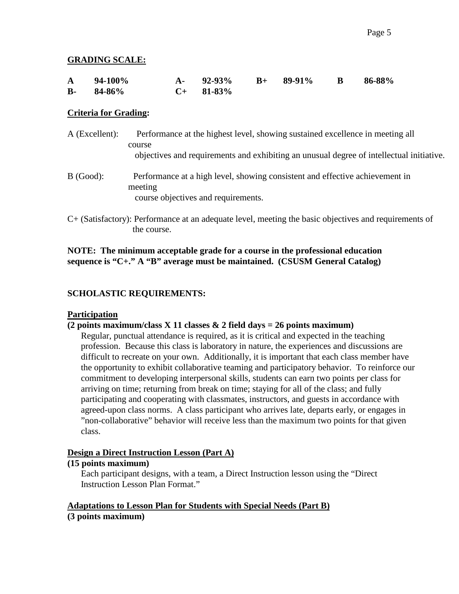### **GRADING SCALE:**

| $A = 94-100\%$ | A- $92-93\%$ B+ $89-91\%$ B $86-88\%$ |  |  |
|----------------|---------------------------------------|--|--|
| $B-84-86%$     | $C+$ 81-83%                           |  |  |

### **Criteria for Grading:**

- A (Excellent): Performance at the highest level, showing sustained excellence in meeting all course objectives and requirements and exhibiting an unusual degree of intellectual initiative. B (Good): Performance at a high level, showing consistent and effective achievement in meeting course objectives and requirements.
- C+ (Satisfactory): Performance at an adequate level, meeting the basic objectives and requirements of the course.

### **NOTE: The minimum acceptable grade for a course in the professional education sequence is "C+." A "B" average must be maintained. (CSUSM General Catalog)**

## **SCHOLASTIC REQUIREMENTS:**

### **Participation**

### **(2 points maximum/class X 11 classes & 2 field days = 26 points maximum)**

Regular, punctual attendance is required, as it is critical and expected in the teaching profession. Because this class is laboratory in nature, the experiences and discussions are difficult to recreate on your own. Additionally, it is important that each class member have the opportunity to exhibit collaborative teaming and participatory behavior. To reinforce our commitment to developing interpersonal skills, students can earn two points per class for arriving on time; returning from break on time; staying for all of the class; and fully participating and cooperating with classmates, instructors, and guests in accordance with agreed-upon class norms. A class participant who arrives late, departs early, or engages in "non-collaborative" behavior will receive less than the maximum two points for that given class.

#### **Design a Direct Instruction Lesson (Part A)**

#### **(15 points maximum)**

Each participant designs, with a team, a Direct Instruction lesson using the "Direct Instruction Lesson Plan Format."

### **Adaptations to Lesson Plan for Students with Special Needs (Part B) (3 points maximum)**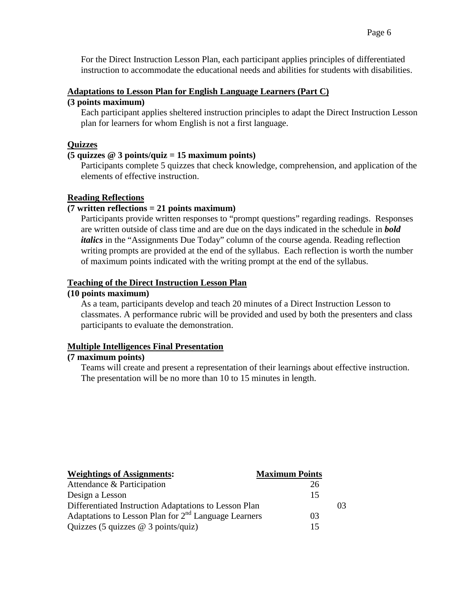#### **Adaptations to Lesson Plan for English Language Learners (Part C)**

### **(3 points maximum)**

Each participant applies sheltered instruction principles to adapt the Direct Instruction Lesson plan for learners for whom English is not a first language.

### **Quizzes**

### **(5 quizzes @ 3 points/quiz = 15 maximum points)**

Participants complete 5 quizzes that check knowledge, comprehension, and application of the elements of effective instruction.

### **Reading Reflections**

### **(7 written reflections = 21 points maximum)**

Participants provide written responses to "prompt questions" regarding readings. Responses are written outside of class time and are due on the days indicated in the schedule in *bold italics* in the "Assignments Due Today" column of the course agenda. Reading reflection writing prompts are provided at the end of the syllabus. Each reflection is worth the number of maximum points indicated with the writing prompt at the end of the syllabus.

### **Teaching of the Direct Instruction Lesson Plan**

### **(10 points maximum)**

As a team, participants develop and teach 20 minutes of a Direct Instruction Lesson to classmates. A performance rubric will be provided and used by both the presenters and class participants to evaluate the demonstration.

### **Multiple Intelligences Final Presentation**

### **(7 maximum points)**

Teams will create and present a representation of their learnings about effective instruction. The presentation will be no more than 10 to 15 minutes in length.

| <b>Weightings of Assignments:</b>                      | <b>Maximum Points</b> |    |
|--------------------------------------------------------|-----------------------|----|
| Attendance & Participation                             | 26                    |    |
| Design a Lesson                                        | 15                    |    |
| Differentiated Instruction Adaptations to Lesson Plan  |                       | 03 |
| Adaptations to Lesson Plan for $2nd$ Language Learners | 03                    |    |
| Quizzes (5 quizzes $@$ 3 points/quiz)                  | 15                    |    |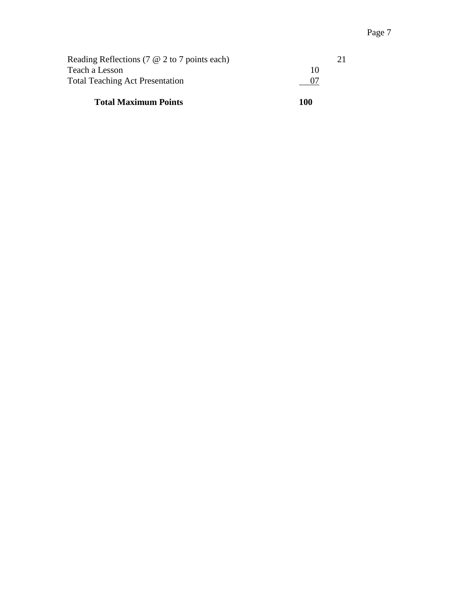| 100 |  |
|-----|--|
|     |  |
| 10  |  |
|     |  |
|     |  |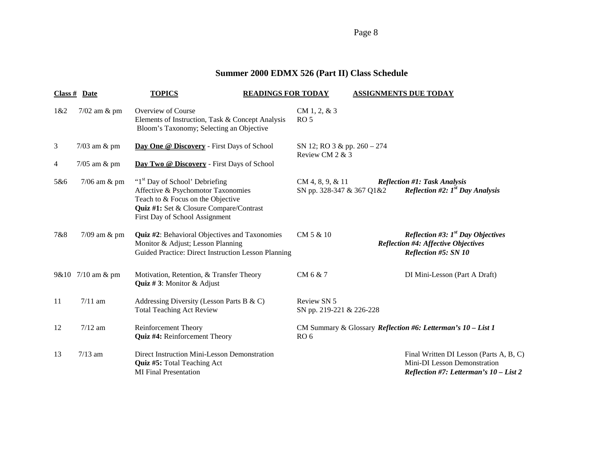Page 8

# **Summer 2000 EDMX 526 (Part II) Class Schedule**

| $Class #$ Date |                   | <b>TOPICS</b>                                                                                                                                                                                      | <b>READINGS FOR TODAY</b>                        | <b>ASSIGNMENTS DUE TODAY</b>                                                                                            |
|----------------|-------------------|----------------------------------------------------------------------------------------------------------------------------------------------------------------------------------------------------|--------------------------------------------------|-------------------------------------------------------------------------------------------------------------------------|
| 1&2            | $7/02$ am $\&$ pm | Overview of Course<br>Elements of Instruction, Task & Concept Analysis<br>Bloom's Taxonomy; Selecting an Objective                                                                                 | $CM 1, 2, \& 3$<br>RO <sub>5</sub>               |                                                                                                                         |
| 3              | $7/03$ am $\&$ pm | Day One @ Discovery - First Days of School                                                                                                                                                         | SN 12; RO 3 & pp. 260 - 274<br>Review CM 2 & 3   |                                                                                                                         |
| 4              | $7/05$ am $\&$ pm | Day Two @ Discovery - First Days of School                                                                                                                                                         |                                                  |                                                                                                                         |
| 5&6            | $7/06$ am $\&$ pm | "1 <sup>st</sup> Day of School' Debriefing<br>Affective & Psychomotor Taxonomies<br>Teach to & Focus on the Objective<br>Quiz #1: Set & Closure Compare/Contrast<br>First Day of School Assignment | $CM 4, 8, 9, \& 11$<br>SN pp. 328-347 & 367 Q1&2 | <b>Reflection #1: Task Analysis</b><br>Reflection #2: $1^{st}$ Day Analysis                                             |
| 7&8            | $7/09$ am $\&$ pm | Quiz #2: Behavioral Objectives and Taxonomies<br>Monitor & Adjust; Lesson Planning<br>Guided Practice: Direct Instruction Lesson Planning                                                          | CM 5 & 10                                        | <i>Reflection #3:</i> $Ist$ Day Objectives<br><b>Reflection #4: Affective Objectives</b><br><b>Reflection #5: SN 10</b> |
|                | 9&10 7/10 am & pm | Motivation, Retention, & Transfer Theory<br><b>Quiz #3:</b> Monitor & Adjust                                                                                                                       | CM 6 & 7                                         | DI Mini-Lesson (Part A Draft)                                                                                           |
| 11             | $7/11$ am         | Addressing Diversity (Lesson Parts B & C)<br><b>Total Teaching Act Review</b>                                                                                                                      | Review SN 5<br>SN pp. 219-221 & 226-228          |                                                                                                                         |
| 12             | $7/12$ am         | <b>Reinforcement Theory</b><br>Quiz #4: Reinforcement Theory                                                                                                                                       | RO <sub>6</sub>                                  | CM Summary & Glossary Reflection #6: Letterman's 10 - List 1                                                            |
| 13             | $7/13$ am         | Direct Instruction Mini-Lesson Demonstration<br>Quiz #5: Total Teaching Act<br><b>MI</b> Final Presentation                                                                                        |                                                  | Final Written DI Lesson (Parts A, B, C)<br>Mini-DI Lesson Demonstration<br>Reflection #7: Letterman's 10 - List 2       |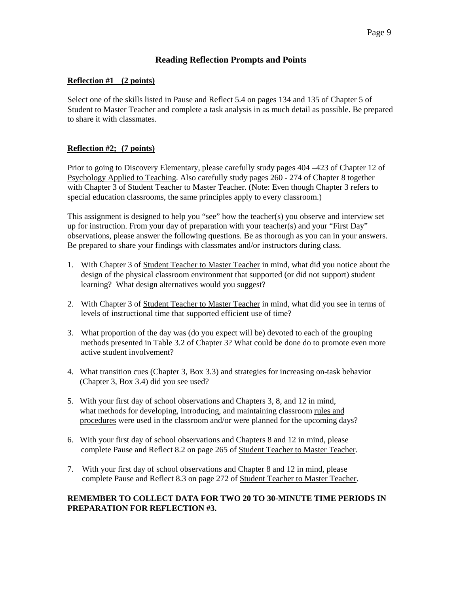#### **Reading Reflection Prompts and Points**

#### **Reflection #1 (2 points)**

Select one of the skills listed in Pause and Reflect 5.4 on pages 134 and 135 of Chapter 5 of Student to Master Teacher and complete a task analysis in as much detail as possible. Be prepared to share it with classmates.

#### **Reflection #2; (7 points)**

Prior to going to Discovery Elementary, please carefully study pages 404 –423 of Chapter 12 of Psychology Applied to Teaching. Also carefully study pages 260 - 274 of Chapter 8 together with Chapter 3 of Student Teacher to Master Teacher. (Note: Even though Chapter 3 refers to special education classrooms, the same principles apply to every classroom.)

This assignment is designed to help you "see" how the teacher(s) you observe and interview set up for instruction. From your day of preparation with your teacher(s) and your "First Day" observations, please answer the following questions. Be as thorough as you can in your answers. Be prepared to share your findings with classmates and/or instructors during class.

- 1. With Chapter 3 of Student Teacher to Master Teacher in mind, what did you notice about the design of the physical classroom environment that supported (or did not support) student learning? What design alternatives would you suggest?
- 2. With Chapter 3 of Student Teacher to Master Teacher in mind, what did you see in terms of levels of instructional time that supported efficient use of time?
- 3. What proportion of the day was (do you expect will be) devoted to each of the grouping methods presented in Table 3.2 of Chapter 3? What could be done do to promote even more active student involvement?
- 4. What transition cues (Chapter 3, Box 3.3) and strategies for increasing on-task behavior (Chapter 3, Box 3.4) did you see used?
- 5. With your first day of school observations and Chapters 3, 8, and 12 in mind, what methods for developing, introducing, and maintaining classroom rules and procedures were used in the classroom and/or were planned for the upcoming days?
- 6. With your first day of school observations and Chapters 8 and 12 in mind, please complete Pause and Reflect 8.2 on page 265 of Student Teacher to Master Teacher.
- 7. With your first day of school observations and Chapter 8 and 12 in mind, please complete Pause and Reflect 8.3 on page 272 of Student Teacher to Master Teacher.

#### **REMEMBER TO COLLECT DATA FOR TWO 20 TO 30-MINUTE TIME PERIODS IN PREPARATION FOR REFLECTION #3.**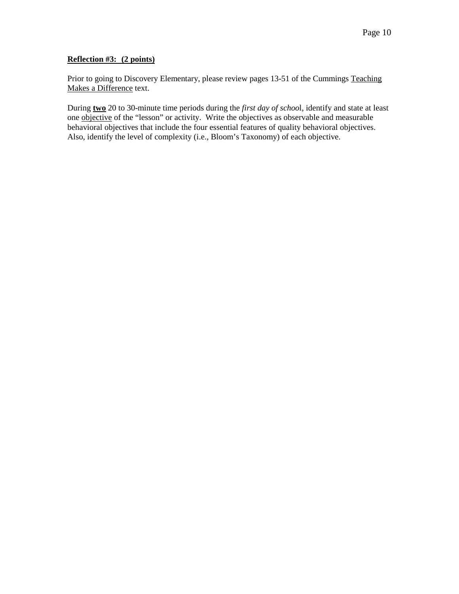#### **Reflection #3: (2 points)**

Prior to going to Discovery Elementary, please review pages 13-51 of the Cummings Teaching Makes a Difference text.

During **two** 20 to 30-minute time periods during the *first day of schoo*l, identify and state at least one objective of the "lesson" or activity. Write the objectives as observable and measurable behavioral objectives that include the four essential features of quality behavioral objectives. Also, identify the level of complexity (i.e., Bloom's Taxonomy) of each objective.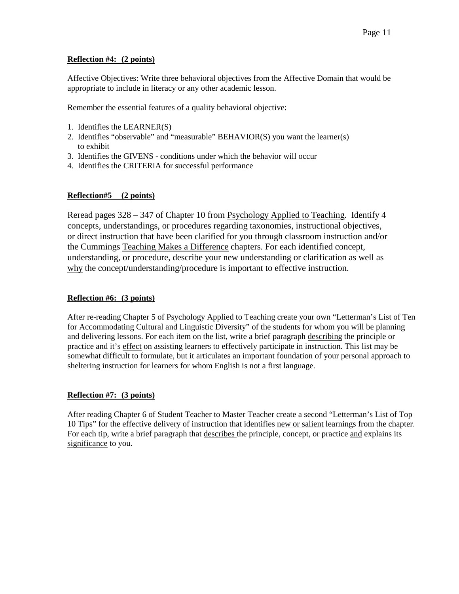#### **Reflection #4: (2 points)**

Affective Objectives: Write three behavioral objectives from the Affective Domain that would be appropriate to include in literacy or any other academic lesson.

Remember the essential features of a quality behavioral objective:

- 1. Identifies the LEARNER(S)
- 2. Identifies "observable" and "measurable" BEHAVIOR(S) you want the learner(s) to exhibit
- 3. Identifies the GIVENS conditions under which the behavior will occur
- 4. Identifies the CRITERIA for successful performance

#### **Reflection#5 (2 points)**

Reread pages 328 – 347 of Chapter 10 from Psychology Applied to Teaching. Identify 4 concepts, understandings, or procedures regarding taxonomies, instructional objectives, or direct instruction that have been clarified for you through classroom instruction and/or the Cummings Teaching Makes a Difference chapters. For each identified concept, understanding, or procedure, describe your new understanding or clarification as well as why the concept/understanding/procedure is important to effective instruction.

#### **Reflection #6: (3 points)**

After re-reading Chapter 5 of Psychology Applied to Teaching create your own "Letterman's List of Ten for Accommodating Cultural and Linguistic Diversity" of the students for whom you will be planning and delivering lessons. For each item on the list, write a brief paragraph describing the principle or practice and it's effect on assisting learners to effectively participate in instruction. This list may be somewhat difficult to formulate, but it articulates an important foundation of your personal approach to sheltering instruction for learners for whom English is not a first language.

#### **Reflection #7: (3 points)**

After reading Chapter 6 of Student Teacher to Master Teacher create a second "Letterman's List of Top 10 Tips" for the effective delivery of instruction that identifies new or salient learnings from the chapter. For each tip, write a brief paragraph that describes the principle, concept, or practice and explains its significance to you.